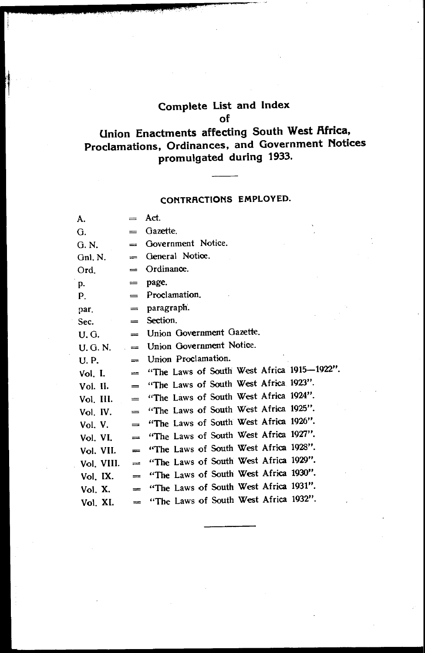# **Complete List and Index of**

# **Union Enactments affecting South West Africa, Proclamations, Ordinances, and Government Notices promulgated during 1933.**

## **CONTRACTIONS EMPLOYED.**

| А.         | $=$                     | Act.                                       |
|------------|-------------------------|--------------------------------------------|
| G.         | $=$                     | Gazette.                                   |
| G. N.      | $=$                     | Government Notice.                         |
| $Gn$ , N.  | $\qquad \qquad =$       | General Notice.                            |
| Ord.       | $\qquad \qquad =\qquad$ | Ordinance.                                 |
| p.         | $=$                     | page.                                      |
| Р.         | $=$                     | Proclamation.                              |
| par.       | $=$                     | paragraph.                                 |
| Sec.       | $=$                     | Section.                                   |
| U.G.       | $=$                     | Union Government Gazette.                  |
| U. G. N.   | $=$                     | Union Government Notice.                   |
| U.P.       | $=$                     | Union Proclamation.                        |
| Vol. I.    | $=$                     | "The Laws of South West Africa 1915-1922". |
| Vol. II.   | $=$                     | "The Laws of South West Africa 1923".      |
| Vol. III.  | $=$                     | "The Laws of South West Africa 1924".      |
| Vol. IV.   | =                       | "The Laws of South West Africa 1925".      |
| Vol. V.    | =                       | "The Laws of South West Africa 1926".      |
| Vol. VI.   | $=$                     | "The Laws of South West Africa 1927".      |
| Vol. VII.  | $=$                     | "The Laws of South West Africa 1928".      |
| Vol. VIII. | $=$                     | "The Laws of South West Africa 1929".      |
| Vol. IX.   | $=$                     | "The Laws of South West Africa 1930".      |
| Vol. X.    | $=$                     | "The Laws of South West Africa 1931".      |
| Vol. XI.   | $=$                     | "The Laws of South West Africa 1932".      |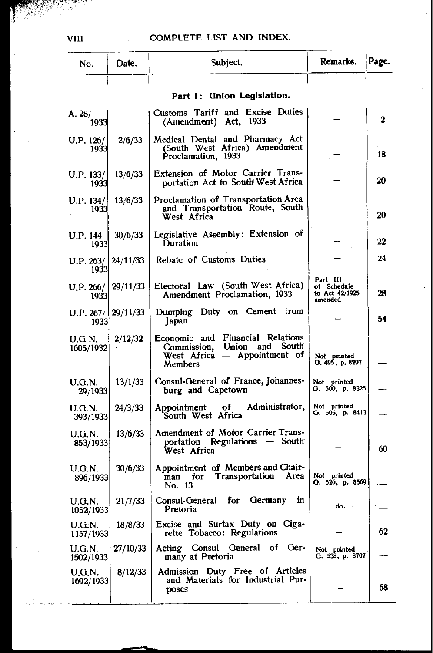| No.                           | Date.    | Subject.                                                                                                         | Remarks.                                             | Page. |
|-------------------------------|----------|------------------------------------------------------------------------------------------------------------------|------------------------------------------------------|-------|
|                               |          |                                                                                                                  |                                                      |       |
|                               |          | Part 1: Union Legislation.                                                                                       |                                                      |       |
| A. 28/<br>1933                |          | Customs Tariff and Excise Duties<br>(Amendment) Act, 1933                                                        |                                                      | 2     |
| U.P. 126/<br>1933             | 2/6/33   | Medical Dental and Pharmacy Act<br>(South West Africa) Amendment<br>Proclamation, 1933                           |                                                      | 18    |
| U.P. 133/<br>1933             | 13/6/33  | Extension of Motor Carrier Trans-<br>portation Act to South West Africa                                          |                                                      | 20    |
| U.P. 134/<br>1933             | 13/6/33  | Proclamation of Transportation Area<br>and Transportation Route, South<br>West Africa                            |                                                      | 20    |
| U.P. 144<br>1933              | 30/6/33  | Legislative Assembly: Extension of<br>Duration                                                                   |                                                      | 22    |
| U.P. 263/<br>1933             | 24/11/33 | Rebate of Customs Duties                                                                                         |                                                      | 24    |
| U.P. 266/<br>1933             | 29/11/33 | Electoral Law (South West Africa)<br>Amendment Proclamation, 1933                                                | Part III<br>of Schedule<br>to Act 42/1925<br>amended | 28    |
| U.P. 267/   29/11/33<br>19331 |          | Dumping Duty on Cement from<br>Japan                                                                             |                                                      | 54    |
| U.G.N.<br>1605/1932           | 2/12/32  | Economic and Financial Relations<br>and South<br>Union<br>Commission,<br>West Africa - Appointment of<br>Members | Not printed<br>O. 495, p. 8297                       |       |
| U.G.N.<br>29/1933             | 13/1/33  | Consul-General of France, Johannes-<br>burg and Capetown                                                         | Not printed<br>G. 500, p. 8325                       |       |
| U.G.N.<br>393/1933            | 24/3/33  | Administrator,<br>Appointment of<br>South West Africa                                                            | Not printed<br>O. 505, p. 8413                       |       |
| U.G.N.<br>853/1933            | 13/6/33  | Amendment of Motor Carrier Trans-<br>portation Regulations - South<br>West Africa                                |                                                      | 60    |
| U.G.N.<br>896/1933            | 30/6/33  | Appointment of Members and Chair-<br>man for Transportation Area<br>No. 13                                       | Not printed<br>O. 526, p. 8569                       |       |
| U.G.N.<br>1052/1933           | 21/7/33  | Consul-General for Germany<br>m<br>Pretoria                                                                      | do.                                                  |       |
| <b>U.G.N.</b><br>1157/1933    | 18/8/33  | Excise and Surtax Duty on Ciga-<br>rette Tobacco: Regulations                                                    |                                                      | 62    |
| <b>U.G.N.</b><br>1502/1933    | 27/10/33 | Consul General of Ger-<br>Acting<br>many at Pretoria                                                             | Not printed<br>G. 538, p. 8707                       |       |
| U.G.N.<br>1692/1933           | 8/12/33  | Admission Duty Free of Articles<br>and Materials for Industrial Pur-<br>poses                                    |                                                      | 68    |

789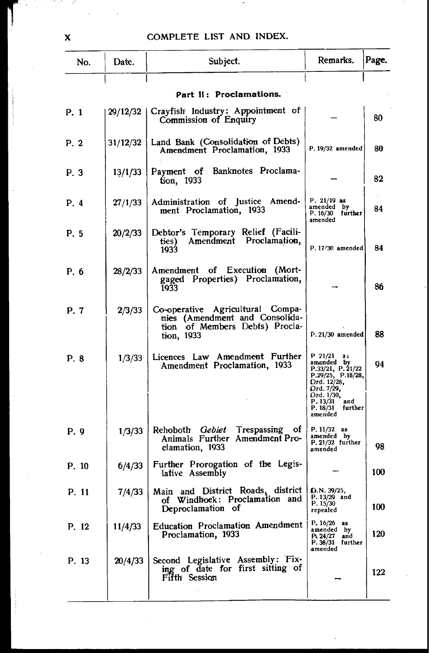| No.   | Date.    | Subject.                                                                                                           | Remarks.                                                                                                                                                             | Page. |
|-------|----------|--------------------------------------------------------------------------------------------------------------------|----------------------------------------------------------------------------------------------------------------------------------------------------------------------|-------|
|       |          | Part II: Proclamations.                                                                                            |                                                                                                                                                                      |       |
| P. 1  | 29/12/32 | Crayfish Industry: Appointment of                                                                                  |                                                                                                                                                                      |       |
|       |          | Commission of Enquiry                                                                                              |                                                                                                                                                                      | 80    |
| P. 2  | 31/12/32 | Land Bank (Consolidation of Debts)<br>Amendment Proclamation, 1933                                                 | $P. 19/32$ amended                                                                                                                                                   | 80    |
| P. 3  | 13/1/33  | Banknotes Proclama-<br>Pavment of<br>tion, 1933                                                                    |                                                                                                                                                                      | 82    |
| P. 4  | 27/1/33  | Administration of Justice Amend-<br>ment Proclamation, 1933                                                        | $P. 21/19$ as<br>amended by<br>P. 16/30 further<br>amended                                                                                                           | 84    |
| P. 5  | 20/2/33  | Debtor's Temporary Relief (Facili-<br>Amendment Proclamation,<br>ties)<br>1933                                     | P. 17/30 amended                                                                                                                                                     | 84    |
| P. 6  | 28/2/33  | Amendment of Execution (Mort-<br>gaged Properties) Proclamation,<br>1933                                           |                                                                                                                                                                      | 86    |
| P. 7  | 2/3/33   | Co-operative Agricultural Compa-<br>nies (Amendment and Consolida-<br>tion of Members Debts) Procla-<br>tion, 1933 | $F. 21/30$ amended                                                                                                                                                   | 88    |
| P. 8  | 1/3/33   | Licences Law Amendment Further<br>Amendment Proclamation, 1933                                                     | P 21/21<br>a,<br>amended by<br>P.33/21, P.21/22<br>P.29/25, P.18/28,<br>Drd. 12/28,<br>Ord. 7/29,<br>Ord. 1/30,<br>P. 13/31<br>and<br>P. 18/31<br>further<br>amended | 94    |
| P.9   | 1/3/33   | Rehoboth <i>Gebiet</i> Trespassing of<br>Animals Further Amendment Pro-<br>clamation, 1933                         | P. 11/32 as<br>amended by<br>$P. 21/32$ further<br>amended                                                                                                           | 98    |
| P. 10 | 6/4/33   | Further Prorogation of the Legis-<br>lative Assembly                                                               |                                                                                                                                                                      | 100   |
| P. 11 | 7/4/33   | Main and District Roads, district<br>and<br>of Windhoek: Proclamation<br>Deproclamation of                         | D.N. 39/25,<br>$P. 13/29$ and<br>P. 15/30<br>repealed                                                                                                                | 100   |
| P. 12 | 11/4/33  | <b>Education Proclamation Amendment</b><br>Proclamation, 1933                                                      | P. 16/26<br>as<br>amended by<br>Pi. 24/27<br>and<br>$P. 38/31$ further<br>amended                                                                                    | 120   |
| P. 13 | 20/4/33  | Second Legislative Assembly: Fix-<br>ing of date for first sitting of<br>Fifth Session                             |                                                                                                                                                                      | 122   |
|       |          |                                                                                                                    |                                                                                                                                                                      |       |

X

J.

٠.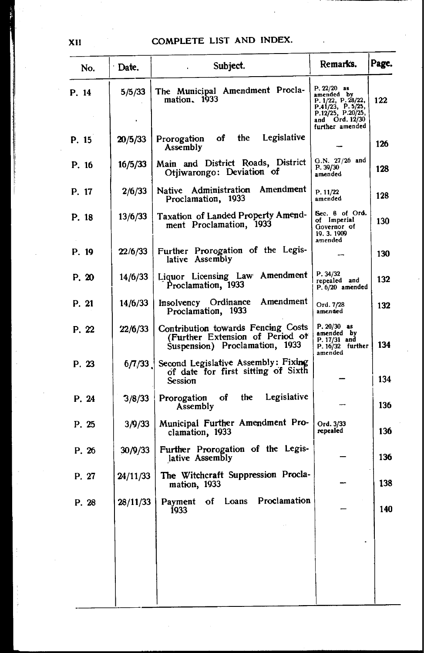$\overline{a}$ 

| No.         | ∙ Date.  | Subject.                                                                                                | Remarks.                                                                                                                        | Page. |
|-------------|----------|---------------------------------------------------------------------------------------------------------|---------------------------------------------------------------------------------------------------------------------------------|-------|
| P. 14       | 5/5/33   | The Municipal Amendment Procla-<br>mation, 1933                                                         | $P. 22/20$ as<br>amended by<br>P. 1/22, P. 28/22,<br>P.41/23, P.5/25,<br>P.12/25, P.20/25,<br>and Ord. 12/30<br>further amended | 122   |
| P. 15       | 20/5/33  | Legislative<br>Prorogation of the<br>Assembly                                                           |                                                                                                                                 | 126   |
| P. 16       | 16/5/33  | Main and District Roads, District<br>Otjiwarongo: Deviation of                                          | $G.N. 27/26$ and<br>P. 39/30<br>amended                                                                                         | 128   |
| P. 17       | 2/6/33   | Amendment<br>Administration<br>Native<br>Proclamation, 1933                                             | P. 11/22<br>amended                                                                                                             | 128   |
| P. 18       | 13/6/33  | Taxation of Landed Property Amend-<br>ment Proclamation, 1933                                           | Sec. 8 of Ord.<br>of Imperial<br>Governor of<br>19.3.1909<br>amended                                                            | 130   |
| P. 19       | 22/6/33  | Further Prorogation of the Legis-<br>lative Assembly                                                    |                                                                                                                                 | 130   |
| P. 20       | 14/6/33  | Liquor Licensing Law Amendment<br>Proclamation, 1933                                                    | P. 34/32<br>repealed and<br>P. 6/20 amended                                                                                     | 132   |
| P. 21       | 14/6/33  | Amendment<br>Insolvency Ordinance<br>Proclamation, 1933                                                 | Ord. 7/28<br>amended                                                                                                            | 132   |
| P. 22       | 22/6/33  | Contribution towards Fencing Costs<br>(Further Extension of Period of<br>Suspension) Proclamation, 1933 | $P. 20/30$ as<br>amended by<br>P. 17/31 and<br>P. 16/32 further<br>amended                                                      | 134   |
| P. 23       | 6/7/33   | Second Legislative Assembly: Fixing<br>of date for first sitting of Sixth<br><b>Session</b>             |                                                                                                                                 | 134   |
| P. 24       | 3/8/33   | Legislative<br>the<br>Prorogation of<br>Assembly                                                        |                                                                                                                                 | 136   |
| P. 25       | 3/9/33   | Municipal Further Amendment Pro-<br>clamation, 1933                                                     | Ord. 3/33<br>repealed                                                                                                           | 136   |
| P. 26       | 30/9/33  | Further Prorogation of the Legis-<br>lative Assembly                                                    |                                                                                                                                 | 136   |
| P. 27       | 24/11/33 | The Witchcraft Suppression Procla-<br>mation, 1933                                                      |                                                                                                                                 | 138   |
| <b>D</b> 28 |          | 28/11/33 Payment of Loans Proclamation<br><b>1933</b>                                                   |                                                                                                                                 | 140   |
|             |          |                                                                                                         |                                                                                                                                 |       |
|             |          |                                                                                                         |                                                                                                                                 |       |
|             |          |                                                                                                         |                                                                                                                                 |       |

XII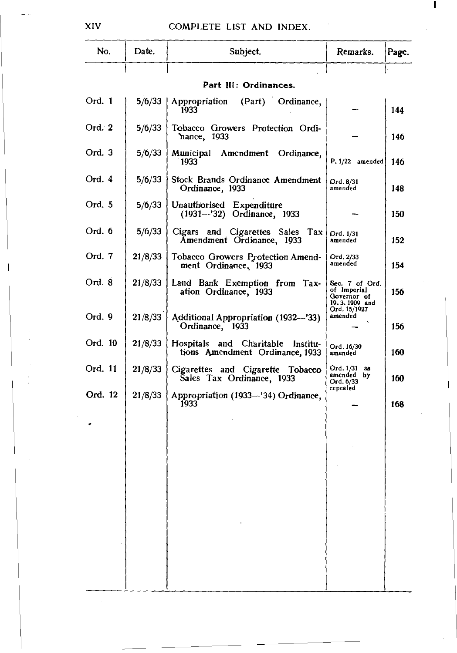| No.     | Date.   | Subject.                                                                | Remarks.                                                      | Page. |
|---------|---------|-------------------------------------------------------------------------|---------------------------------------------------------------|-------|
|         |         | Part III: Ordinances.                                                   |                                                               |       |
| Ord. 1  | 5/6/33  | Appropriation<br>(Part) Ordinance,                                      |                                                               |       |
|         |         | 1933                                                                    |                                                               | 144   |
| Ord. 2  | 5/6/33  | Tobacco Growers Protection Ordi-<br>`nance, 1933                        |                                                               | 146   |
| Ord. 3  | 5/6/33  | Municipal Amendment Ordinance,<br>1933                                  | P. 1/22 amended                                               | 146   |
| Ord. 4  | 5/6/33  | Stock Brands Ordinance Amendment<br>Ordinance, 1933                     | Ord. 8/31<br>amended                                          | 148   |
| Ord. 5  | 5/6/33  | Unauthorised Expenditure<br>(1931-'32) Ordinance, 1933                  |                                                               | 150   |
| Ord. 6  | 5/6/33  | Cigars and Cigarettes Sales Tax<br>Amendment Ordinance, 1933            | Ord. 1/31<br>amended                                          | 152   |
| Ord. 7  | 21/8/33 | Tobacco Growers Protection Amend-<br>ment Ordinance, 1933               | Ord. 2/33<br>amended                                          | 154   |
| Ord. 8  | 21/8/33 | Land Bank Exemption from Tax-<br>ation Ordinance, 1933                  | Sec. 7 of Ord.<br>of Imperial<br>Governor of<br>19.3.1909 and | 156   |
| Ord. 9  | 21/8/33 | Additional Appropriation (1932-'33)<br>Ordinance, 1933                  | Ord. 15/1927<br>amended                                       | 156   |
| Ord. 10 | 21/8/33 | Hospitals and Charitable<br>Institu-<br>tions Amendment Ordinance, 1933 | Ord. 16/30<br>amended                                         | 160   |
| Ord. 11 | 21/8/33 | Cigarettes and Cigarette Tobacco<br>Sales Tax Ordinance, 1933           | Ord. 1/31<br>-88<br>amended<br>bу<br>Ord. 6/33                | 160   |
| Ord. 12 | 21/8/33 | Appropriation (1933-'34) Ordinance,<br>1933                             | repealed                                                      | 168   |
|         |         |                                                                         |                                                               |       |
|         |         |                                                                         |                                                               |       |
|         |         |                                                                         |                                                               |       |
|         |         |                                                                         |                                                               |       |
|         |         |                                                                         |                                                               |       |
|         |         |                                                                         |                                                               |       |
|         |         |                                                                         |                                                               |       |
|         |         |                                                                         |                                                               |       |

XIV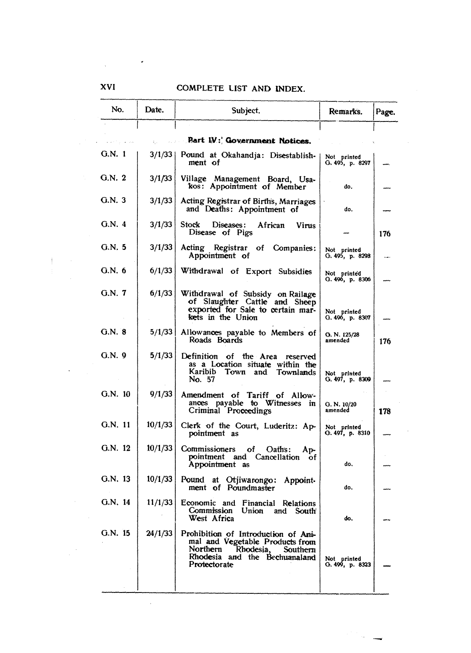| No.      | Date.   | Subject.                                                                                                                                                  | Remarks.                       | Page. |
|----------|---------|-----------------------------------------------------------------------------------------------------------------------------------------------------------|--------------------------------|-------|
|          |         | <b>Eart W.</b> ; Government Notices.                                                                                                                      |                                |       |
| G.N. 1   |         | 3/1/33   Pound at Okahandja: Disestablish-<br>ment of                                                                                                     | Not printed<br>G. 495, p. 8297 |       |
| G.N. 2   | 3/1/33  | Village Management Board, Usa-<br>kos: Appointment of Member                                                                                              | do.                            |       |
| G.N. 3   | 3/1/33  | Acting Registrar of Births, Marriages<br>and Deaths: Appointment of                                                                                       | đo.                            |       |
| G.N.4    | 3/1/33  | Stock<br>African<br>Diseases:<br><b>Virus</b><br>Disease of Pigs                                                                                          |                                | 176   |
| G.N. 5   | 3/1/33  | Acting Registrar of Companies:<br>Appointment of                                                                                                          | Not printed<br>G. 495, p. 8298 |       |
| G.N. 6   | 6/1/33  | Withdrawal of Export Subsidies                                                                                                                            | Not printed<br>O. 496, p. 8306 |       |
| G.N. 7   | 6/1/33  | Withdrawal of Subsidy on Railage<br>of Slaughter Cattle and Sheep<br>exported for Sale to certain mar-<br>kets in the Union                               | Not printed<br>Q. 496, p. 8307 |       |
| G.N. 8   | 5/1/33  | Allowances payable to Members of<br>Roads Boards                                                                                                          | G. N. 125/28<br>amended        | 176   |
| $G.N.$ 9 | 5/1/33  | Definition of the Area reserved<br>as a Location situate within the<br>Karibib Town and Townlands<br>No. 57                                               | Not printed<br>G. 497, p. 8309 |       |
| G.N. 10  | 9/1/33  | Amendment of Tariff of Allow-<br>ances payable to Witnesses in<br>Criminal Proceedings                                                                    | G. N. 10/20<br>amended         | 178   |
| G.N. 11  | 10/1/33 | Clerk of the Court, Luderitz: Ap-<br>pointment as                                                                                                         | Not printed<br>G. 497, p. 8310 |       |
| G.N. 12  | 10/1/33 | Commissioners<br>οf<br>Oath's:<br>Ap-<br>pointment and Cancellation of<br>Appointment as                                                                  | đo.                            |       |
| G.N. 13  | 10/1/33 | Pound at Orijiwarongo:<br>Appoint-<br>ment of Poundmaster                                                                                                 | do.                            |       |
| G.N. 14  | 11/1/33 | Economic and Financial Relations<br>Commission Union<br>ang<br>south<br>West Africa                                                                       | do.                            |       |
| G.N. 15  | 24/1/33 | Prohibition of Introduction of Ani-<br>mal and Vegetable Products from<br>Northern Rhodesia,<br>Southern<br>Rhodesia and the Bechuanaland<br>Protectorate | Not printed<br>O. 499, p. 8323 |       |

XVI

ŧ

 $\ddot{\phantom{0}}$ 

 $\sim$ 

 $\chi_{\rm{max}}=0.002$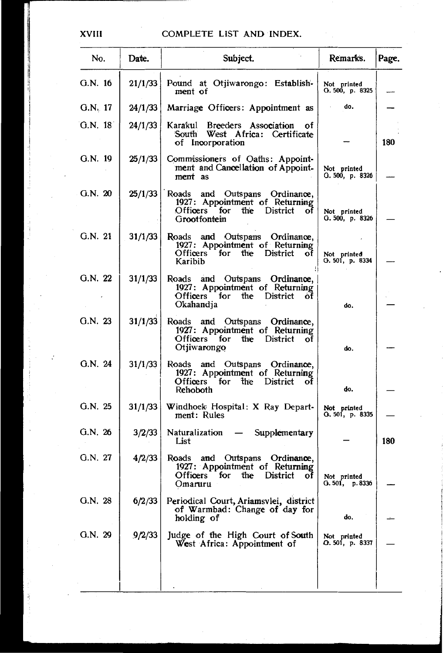| No.       | Date.   | Subject.                                                                                                                       | Remarks.                       | Page. |
|-----------|---------|--------------------------------------------------------------------------------------------------------------------------------|--------------------------------|-------|
| G.N. 16   | 21/1/33 | Pound at Otiiwarongo: Establish-<br>ment of                                                                                    | Not printed<br>G. 500, p. 8325 |       |
| $G.N.$ 17 | 24/1/33 | Marriage Officers: Appointment as                                                                                              | do.                            |       |
| G.N. 181  | 24/1/33 | Karakul Breeders Association<br>οf<br>South West Africa: Certificate<br>of Incorporation                                       |                                | 180   |
| G.N. 19   | 25/1/33 | Commissioners of Oaths: Appoint-<br>ment and Cancellation of Appoint-<br>ment as                                               | Not printed<br>G. 500, p. 8326 |       |
| G.N. 20   | 25/1/33 | and Outspans Ordinance,<br>Roads<br>1927: Appointment of Returning<br>Officers for the District<br>оf<br>Grootfontein          | Not printed<br>G. 500, p. 8326 |       |
| G.N. 21   | 31/1/33 | Roads and Outspans Ordinance,<br>1927: Appointment of Returning<br>Officers for<br>the<br>District<br>οť<br>Karibib            | Not printed<br>O. 501, p. 8334 |       |
| G.N. 22   | 31/1/33 | Roads and Outspans Ordinance,<br>1927: Appointment of Returning<br>Officers for the District<br>of<br>Okahandja                | do.                            |       |
| G.N. 23   | 31/1/33 | Roads and Outspans Ordinance,<br>1927: Appointment of Returning<br>Officers for<br>the<br>District<br>οf<br>Otjiwarongo        | do.                            |       |
| G.N. 24   | 31/1/33 | Roads and Outspans Ordinance,<br>1927: Appointment of Returning<br><b>Officers</b><br>for<br>the<br>District<br>οf<br>Rehoboth | do.                            |       |
| G.N. 25   | 31/1/33 | Windhoek Hospital: X Ray Depart-<br>ment: Rules                                                                                | Not printed<br>G. 501, p. 8335 |       |
| G.N.26    | 3/2/33  | Naturalization<br>Supplementary<br>$\overline{\phantom{0}}$<br>List                                                            |                                | 180   |
| G.N. 27   | 4/2/33  | Roads and Outspans Ordinance,<br>1927: Appointment of Returning<br>the District<br>Officers :<br>for<br>of<br>Omaruru          | Not printed<br>G.501, p.8336   |       |
| G.N. 28   | 6/2/33  | Periodical Court, Ariamsvlei, district<br>of Warmbad: Change of day for<br>holding of                                          | do,                            |       |
| G.N. 29   | 9/2/33  | Judge of the High Court of South<br>West Africa: Appointment of                                                                | Not printed<br>O. 501, p. 8337 |       |
|           |         |                                                                                                                                |                                |       |
|           |         |                                                                                                                                |                                |       |

XVIII

j

ÿ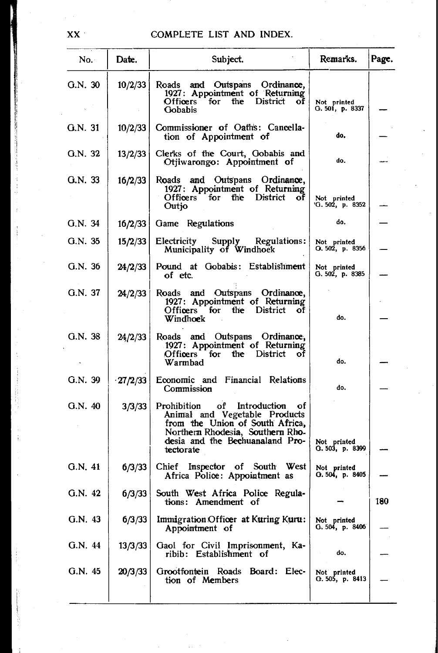| No.     | Date.   | Subject.                                                                                                                                                                                  | Remarks.                           | Page. |
|---------|---------|-------------------------------------------------------------------------------------------------------------------------------------------------------------------------------------------|------------------------------------|-------|
| G.N. 30 | 10/2/33 | and Outspans<br>Ordinance,<br>Roads<br>1927: Appointment of Returning<br>Officers for the District of<br>Gobabis                                                                          | Not printed<br>G. 501, p. 8337     |       |
| Q.N. 31 | 10/2/33 | Commissioner of Oath's: Cancella-<br>tion of Appointment of                                                                                                                               | do.                                |       |
| G.N. 32 | 13/2/33 | Clerks of the Court, Gobabis and<br>Otjiwarongo: Appointment of                                                                                                                           | do.                                |       |
| G.N. 33 | 16/2/33 | Roads and Outspans Ordinance,<br>1927: Appointment of Returning<br>Officers for the District of<br>Outjo                                                                                  | Not printed<br>$0.502$ , p. 8352   |       |
| G.N. 34 | 16/2/33 | Game Regulations                                                                                                                                                                          | do.                                |       |
| G.N.35  | 15/2/33 | Electricity Supply Regulations:<br>Municipality of Windhoek                                                                                                                               | Not printed<br>O. 502, p. 8356     |       |
| G.N.36  | 24/2/33 | Pound at Gobabis: Establishment<br>of etc.                                                                                                                                                | Not printed<br>G. 502, p. 8385     |       |
| G.N. 37 | 24/2/33 | Roads and Outspans Ordinance,<br>1927: Appointment of Returning<br>Officers for the District<br>οt<br>Windhoek                                                                            | do.                                |       |
| G.N. 38 | 24/2/33 | Roads and Outspans Ordinance,<br>1927: Appointment of Returning<br>Officers for<br>the District<br>ot<br>Warmbad                                                                          | do.                                |       |
| G.N. 39 | 27/2/33 | Economic and Financial Relations<br>Commission                                                                                                                                            | do.                                |       |
| G.N.40  | 3/3/33  | Prohibition of Introduction<br>οf<br>Animal and Vegetable Products<br>from the Union of South Africa,<br>Northern Rhodesia, Southern Rho-<br>desia and the Bechuanaland Pro-<br>tectorate | Not printed<br>G. 503, p. 8399     |       |
| G.N. 41 | 6/3/33  | Chief Inspector of South West<br>Africa Police: Appointment as                                                                                                                            | Not printed<br>O. 504, p. 8405     |       |
| G.N. 42 | 6/3/33  | South West Africa Police Regula-<br>tions: Amendment of                                                                                                                                   |                                    | 180   |
| G.N. 43 | 6/3/33  | Immigration Officer at Kuring Kuru:<br>Appointment of                                                                                                                                     | Not printed<br>$0.504$ , p. $8406$ |       |
| G.N. 44 | 13/3/33 | Gaol for Civil Imprisonment, Ka-<br>ribib: Establishment of                                                                                                                               | do.                                |       |
| G.N. 45 | 20/3/33 | Grootfontein Roads Board: Elec-<br>tion of Members                                                                                                                                        | Not printed<br>O. 505, p. 8413     |       |
|         |         |                                                                                                                                                                                           |                                    |       |

 $\mathbf{XX}^{(1)}$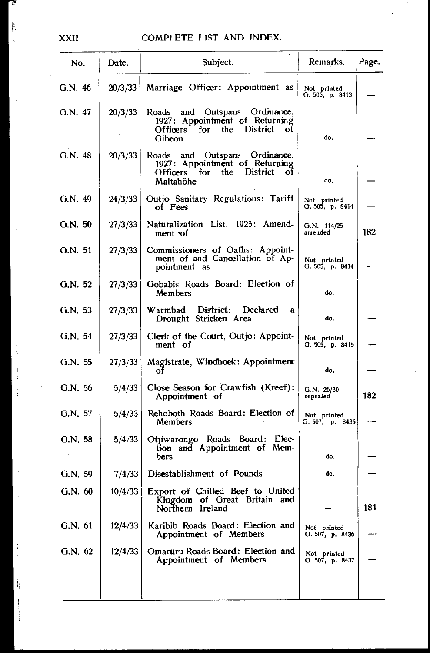| No.     | Date.   | Subject.                                                                                                                           | Remarks.                       | Page. |
|---------|---------|------------------------------------------------------------------------------------------------------------------------------------|--------------------------------|-------|
| G.N. 46 | 20/3/33 | Marriage Officer: Appointment as                                                                                                   | Not printed<br>G. 505, p. 8413 |       |
| G.N. 47 | 20/3/33 | Outspans<br>Ordinance,<br>Roads<br>and<br>1927: Appointment of Returning<br>for the<br><b>District</b><br>Officers<br>оf<br>Gibeon | do.                            |       |
| G.N.48  | 20/3/33 | Outspans Ordinance,<br>Roads and<br>1927: Appointment of Returning<br>the<br>District<br><b>Officers</b><br>for<br>οf<br>Maltahöhe | do.                            |       |
| G.N. 49 | 24/3/33 | Outjo Sanitary Regulations: Tariff<br>of Fees                                                                                      | Not printed<br>G. 505, p. 8414 |       |
| G.N. 50 | 27/3/33 | Naturalization List, 1925: Amend-<br>ment of                                                                                       | $O.N.$ 114/25<br>amended       | 182   |
| G.N. 51 | 27/3/33 | Commissioners of Oaths: Appoint-<br>ment of and Cancellation of Ap-<br>pointment as                                                | Not printed<br>О. 505, р. 8414 |       |
| G.N. 52 | 27/3/33 | Gobabis Roads Board: Election of<br>Members                                                                                        | do.                            |       |
| G.N. 53 | 27/3/33 | Warmbad<br>District: Declared<br>a<br>Drought Stricken Area                                                                        | do.                            |       |
| G.N. 54 | 27/3/33 | Clerk of the Court, Outjo: Appoint-<br>ment of                                                                                     | Not printed<br>O. 505, p. 8415 |       |
| G.N. 55 | 27/3/33 | Magistrate, Windhoek: Appointment<br>Οİ                                                                                            | do.                            |       |
| G.N. 56 | 5/4/33  | Close Season for Crawfish (Kreef):<br>Appointment of                                                                               | G.N. 26/30<br>repealed         | 182   |
| G.N. 57 | 5/4/33  | Rehoboth Roads Board: Election of<br>Members                                                                                       | Not printed<br>G. 507, p. 8435 |       |
| G.N. 58 | 5/4/33  | Otjiwarongo Roads Board: Elec-<br>tion and Appointment of Mem-<br>bers                                                             | do.                            |       |
| G.N. 59 | 7/4/33  | Disestablishment of Pounds                                                                                                         | do.                            |       |
| G.N. 60 |         | 10/4/33   Export of Chilled Beef to United<br>Kingdom of Great Britain and<br>Northern Ireland                                     |                                | 184   |
| G.N. 61 | 12/4/33 | Karibib Roads Board: Election and<br>Appointment of Members                                                                        | Not printed<br>G. 507, p. 8436 |       |
| G.N. 62 | 12/4/33 | Omaruru Roads Board: Election and<br>Appointment of Members                                                                        | Not printed<br>G. 507, p. 8437 |       |
|         |         |                                                                                                                                    |                                |       |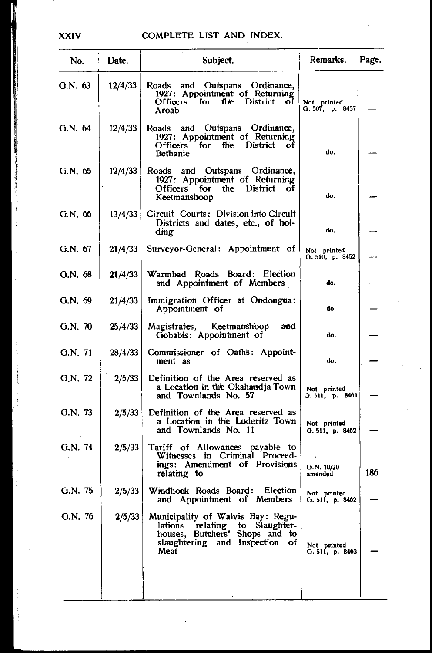| No.     | Date.   | Subject.                                                                                                                                              | Remarks.                         | Page. |
|---------|---------|-------------------------------------------------------------------------------------------------------------------------------------------------------|----------------------------------|-------|
| G.N. 63 | 12/4/33 | Roads<br>and Outspans Ordinance,<br>1927: Appointment of Returning<br>Officers for the<br><b>District</b><br>- of<br>Aroab                            | Not printed<br>G. 507, p. 8437   |       |
| G.N. 64 | 12/4/33 | Roads and Outspans Ordinance,<br>1927: Appointment of Returning<br>Officers for the District of<br><b>Bethanie</b>                                    | do.                              |       |
| G.N. 65 | 12/4/33 | Roads and Outspans Ordinance,<br>1927: Appointment of Returning<br>Officers for the District<br>оf<br>Keetmanshoop                                    | do.                              |       |
| G.N. 66 | 13/4/33 | Circuit Courts: Division into Circuit<br>Districts and dates, etc., of hol-<br>ding                                                                   | do.                              |       |
| G.N. 67 | 21/4/33 | Surveyor-General: Appointment of                                                                                                                      | Not printed<br>G. 510, p. 8452   |       |
| G.N. 68 | 21/4/33 | Warmbad Roads Board: Election<br>and Appointment of Members                                                                                           | do.                              |       |
| G.N.69  | 21/4/33 | Immigration Officer at Ondongua:<br>Appointment of                                                                                                    | do.                              |       |
| G.N. 70 | 25/4/33 | Keetmanshoop<br>and<br>Magistrates,<br>Gobabis: Appointment of                                                                                        | do.                              |       |
| G.N. 71 | 28/4/33 | Commissioner of Oaths: Appoint-<br>ment as                                                                                                            | do.                              |       |
| G.N. 72 | 2/5/33  | Definition of the Area reserved as<br>a Location in the Okahandja Town<br>and Townlands No. 57                                                        | Not printed<br>$O.511$ , p. 8461 |       |
| G.N. 73 | 2/5/33  | Definition of the Area reserved as<br>a Location in the Luderitz Town<br>and Townlands No. 11                                                         | Not printed<br>O. 511, p. 8462   |       |
| G.N. 74 | 2/5/33  | Tariff of Allowances payable to<br>Witnesses in Criminal Proceed-<br>ings: Amendment of Provisions<br>relating to                                     | G.N. 10/20<br>amended            | 186   |
| G.N.75  | 2/5/33  | Windhoek Roads Board: Election<br>and Appointment of Members                                                                                          | Not printed<br>$0.511$ , p. 8462 |       |
| G.N. 76 | 2/5/33  | Municipality of Walvis Bay: Regu-<br>relating to Slaughter-<br>lations<br>houses, Butchers' Shops and to<br>slaughtering and Inspection<br>οf<br>Meat | Not printed<br>G. 511, p. 8463   |       |
|         |         |                                                                                                                                                       |                                  |       |

XXIV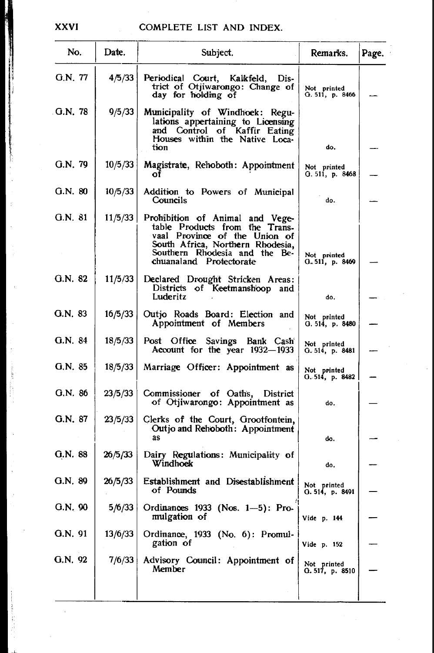## XXVI

l,

| No.       | Date.   | Subject.                                                                                                                                                                                           | Remarks.                       | Page. |
|-----------|---------|----------------------------------------------------------------------------------------------------------------------------------------------------------------------------------------------------|--------------------------------|-------|
| G.N. 77   | 4/5/33  | Periodical Court, Kalkfeld, Dis-<br>trict of Otjiwarongo: Change of<br>day for holding of                                                                                                          | Not printed<br>G. 511, p. 8466 |       |
| G.N. 78   | 9/5/33  | Municipality of Windhoek: Regu-<br>lations appertaining to Licensing<br>and Control of Kaffir Eating<br>Houses within the Native Loca-<br>tion                                                     | do.                            |       |
| G.N. 79   | 10/5/33 | Magistrate, Rehoboth: Appointment<br>оf                                                                                                                                                            | Not printed<br>G.511, p.8468   |       |
| G.N. 80   | 10/5/33 | Addition to Powers of Municipal<br>Councils                                                                                                                                                        | do.                            |       |
| G.N. 81   | 11/5/33 | Prohibition of Animal and Vege-<br>table Products from the Trans-<br>vaal Province of the Union of<br>South Africa, Northern Rhodesia,<br>Southern Rhodesia and the Be-<br>chuanaland Protectorate | Not printed<br>O. 511, p. 8469 |       |
| $G.N.$ 82 | 11/5/33 | Declared Drought Stricken Areas:<br>Districts of Keetmanshoop and<br>Luderitz                                                                                                                      | do,                            |       |
| G.N. 83   | 16/5/33 | Outjo Roads Board: Election and<br>Appointment of Members                                                                                                                                          | Not printed<br>O. 514, p. 8480 |       |
| G.N. 84   | 18/5/33 | Post Office Savings<br>Bank Cash<br>Account for the year 1932-1933                                                                                                                                 | Not printed<br>G. 514, p. 8481 |       |
| G.N. 85   | 18/5/33 | Marriage Officer: Appointment as                                                                                                                                                                   | Not printed<br>O. 514, p. 8482 |       |
| G.N. 86   | 23/5/33 | Commissioner of Oaths,<br><b>District</b><br>of Otjiwarongo: Appointment as                                                                                                                        | do.                            |       |
| G.N. 87   | 23/5/33 | Clerks of the Court, Grootfontein,<br>Outjo and Rehoboth: Appointment<br>as                                                                                                                        | do.                            |       |
| G.N. 88   | 26/5/33 | Dairy Regulations: Municipality of<br>Windhoek                                                                                                                                                     | do.                            |       |
| G.N. 89   | 26/5/33 | Establishment and Disestablishment<br>of Pounds                                                                                                                                                    | Not printed<br>O. 514, p. 8491 |       |
| G.N. 90   | 5/6/33  | Ordinances 1933 (Nos. 1-5): Pro-<br>mulgation of                                                                                                                                                   | Vide p. 144                    |       |
| G.N. 91   | 13/6/33 | Ordinance, 1933 (No. 6): Promul-<br>gation of                                                                                                                                                      | Vide p. 152                    |       |
| G.N. 92   | 7/6/33  | Advisory Council: Appointment of<br>Member                                                                                                                                                         | Not printed<br>O. 517, p. 8510 |       |
|           |         |                                                                                                                                                                                                    |                                |       |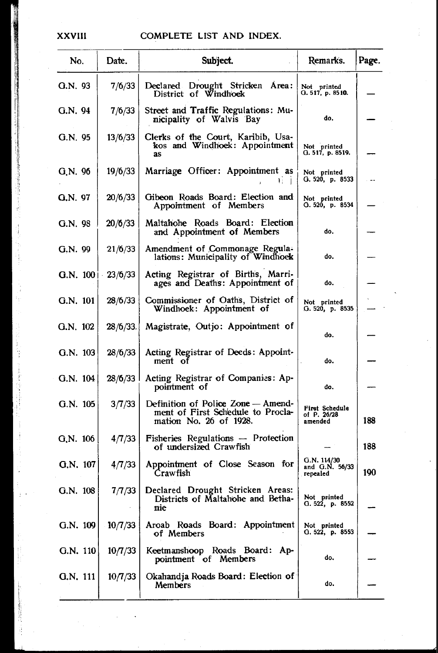#### **XXVIII**

| No.      | Date.                   | Subject.                                                                                          | Remarks.                                  | Page. |
|----------|-------------------------|---------------------------------------------------------------------------------------------------|-------------------------------------------|-------|
| G.N. 93  | 7/6/33                  | Declared Drought Stricken Area:<br>District of Windhock                                           | Not printed<br>O. 517, p. 8510.           |       |
| G.N. 94  | 7/6/33                  | Street and Traffic Regulations: Mu-<br>nicipality of Walvis Bay                                   | do.                                       |       |
| G.N. 95  | 13/6/33                 | Clerks of the Court, Karibib, Usa-<br>kos and Windhoek: Appointment<br>as                         | Not printed<br>G. 517, p. 8519.           |       |
| G.N. 96  | 19/6/33                 | Marriage Officer: Appointment as<br>Τī.                                                           | Not printed<br>G. 520, p. 8533            |       |
| G.N. 97  | 20/6/33                 | Gibeon Roads Board: Election and<br>Appointment of Members                                        | Not printed<br>О. 520, р. 8534            |       |
| G.N. 98  | 20/6/33                 | Maltahohe Roads Board: Election<br>and Appointment of Members                                     | do.                                       |       |
| G.N. 99  | 21/6/33                 | Amendment of Commonage Regula-<br>lations: Municipality of Windhoek                               | do.                                       |       |
|          | G.N. $100 \mid 23/6/33$ | Acting Registrar of Births, Marri-<br>ages and Deaths: Appointment of                             | do.                                       |       |
| G.N. 101 | 28/6/33                 | Commissioner of Oaths, District of<br>Windhoek: Appointment of                                    | Not printed<br>G. 520, p. 8535            |       |
| G.N. 102 | $28/6/33$ .             | Magistrate, Outjo: Appointment of                                                                 | do.                                       |       |
| G.N. 103 | 28/6/33                 | Acting Registrar of Deeds: Appoint-<br>ment of                                                    | do.                                       |       |
| G.N. 104 | 28/6/33                 | Acting Registrar of Companies: Ap-<br>pointment of                                                | do.                                       |       |
| G.N. 105 | 3/7/33                  | Definition of Police Zone — Amend-<br>ment of First Schedule to Procla-<br>mation No. 26 of 1928. | First Schedule<br>of P. 26/28<br>amended  | 188   |
| G.N. 106 | 4/7/33                  | Fisheries Regulations - Protection<br>of undersized Crawfish                                      |                                           | 188   |
| G.N. 107 | 4/7/33                  | Appointment of Close Season for<br>Crawfish                                                       | G.N. 114/30<br>and G.N. 56/33<br>repealed | 190   |
| G.N. 108 | 7/7/33                  | Declared Drought Stricken Areas:<br>Districts of Maltahohe and Betha-<br>nie                      | Not printed<br>G. 522, p. 8552            |       |
| G.N. 109 | 10/7/33                 | Aroab Roads Board: Appointment<br>of Members                                                      | Not printed<br>Q. 522, p. 8553            |       |
| G.N. 110 | 10/7/33                 | Keetmanshoop Roads Board: Ap-<br>pointment of Members                                             | do.                                       |       |
| G.N. 111 | 10/7/33                 | Okahandja Roads Board: Election of<br>Members                                                     | do.                                       |       |
|          |                         |                                                                                                   |                                           |       |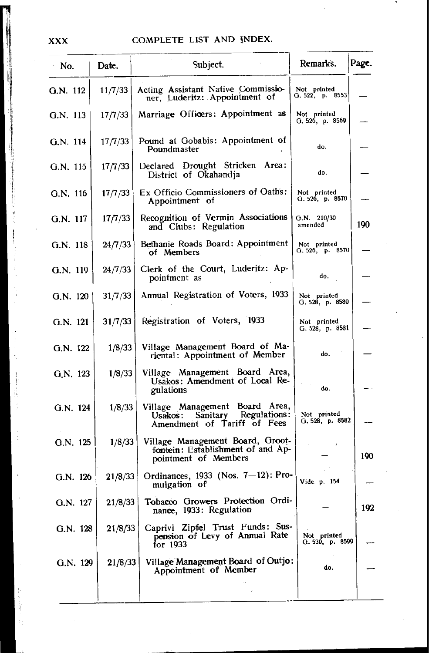| No.        | Date.   | Subject.                                                                                       | Remarks.                            | Page. |
|------------|---------|------------------------------------------------------------------------------------------------|-------------------------------------|-------|
| G.N. 112   | 11/7/33 | Acting Assistant Native Commissio-<br>ner, Luderitz: Appointment of                            | Not printed<br>G. 522, p. 8553      |       |
| G.N. 113   | 17/7/33 | Marriage Officers: Appointment as                                                              | Not printed<br>G. 526, p. 8569      |       |
| G.N. 114   | 17/7/33 | Pound at Gobabis: Appointment of<br>Poundmaster                                                | do.                                 |       |
| G.N. 115   | 17/7/33 | Declared Drought Stricken Area:<br>District of Okahandia                                       | do.                                 |       |
| G.N. 116   | 17/7/33 | Ex Officio Commissioners of Oaths:<br>Appointment of                                           | Not printed<br>G. 526, p. 8570      |       |
| G.N. 117   | 17/7/33 | Recognition of Vermin Associations<br>and Clubs: Regulation                                    | G.N. 210/30<br>amended              | 190   |
| $G.N.$ 118 | 24/7/33 | Bethanie Roads Board: Appointment<br>of Members                                                | Not printed<br>G. $526$ , p. $8570$ |       |
| G.N. 119   | 24/7/33 | Clerk of the Court, Luderitz: Ap-<br>pointment as                                              | do.                                 |       |
| G.N. 120   | 31/7/33 | Annual Registration of Voters, 1933                                                            | Not printed<br>G. 528, p. 8580      |       |
| G.N. 121   | 31/7/33 | Registration of Voters, 1933                                                                   | Not printed<br>G. 528, p. 8581      |       |
| G.N. 122   | 1/8/33  | Village Management Board of Ma-<br>riental: Appointment of Member                              | do.                                 |       |
| G.N. 123   | 1/8/33  | Village Management Board Area,<br>Usakos: Amendment of Local Re-<br>gulations                  | do.                                 |       |
| G.N. 124   | 1/8/33  | Village Management Board Area,<br>Usakos: Sanitary Regulations:<br>Amendment of Tariff of Fees | Not printed<br>G. 528, p. 8582      |       |
| G.N. 125   | 1/8/33  | Village Management Board, Groot-<br>fontein: Establishment of and Ap-<br>pointment of Members  |                                     | 190   |
| G.N. 126   | 21/8/33 | Ordinances, 1933 (Nos. 7-12): Pro-<br>mulgation of                                             | Vide p. 154                         |       |
| G.N. 127   |         | 21/8/33 Tobacco Growers Protection Ordi-<br>nance, 1933: Regulation                            |                                     | 192   |
| G.N. 128   | 21/8/33 | Caprivi Zipfel Trust Funds: Sus-<br>pension of Levy of Annual Rate<br>for 1933                 | Not printed<br>G. 530, p. 8599      |       |
| G.N. 129   | 21/8/33 | Village Management Board of Outjo:<br>Appointment of Member                                    | do.                                 |       |
|            |         |                                                                                                |                                     |       |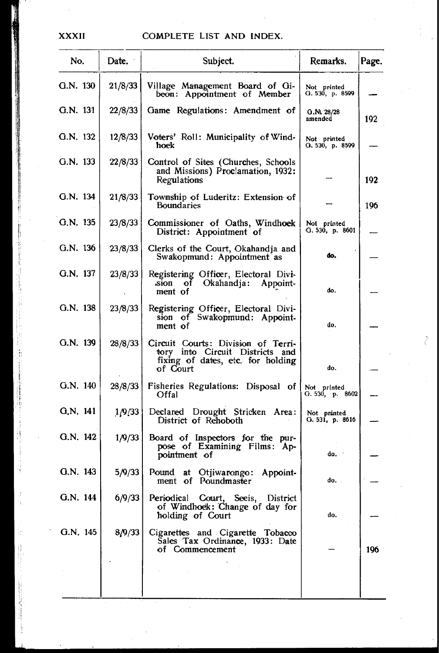## XXXII COMPLETE LIST AND INDEX.

| No.        | Date.   | Subject.                                                                                                               | Remarks.                       | Page. |
|------------|---------|------------------------------------------------------------------------------------------------------------------------|--------------------------------|-------|
| G.N. 130   | 21/8/33 | Village Management Board of Gi-<br>beon: Appointment of Member                                                         | Not printed<br>G. 530, p. 8599 |       |
| G.N. 131   | 22/8/33 | Game Regulations: Amendment of                                                                                         | G.N. 28/28<br>amended          | 192   |
| G.N. 132   | 12/8/33 | Voters' Roll: Municipality of Wind-<br>hoek                                                                            | Not printed<br>О. 530, р. 8599 |       |
| G.N. 133   | 22/8/33 | Control of Sites (Churches, Schools<br>and Missions) Proclamation, 1932:<br>Regulations                                |                                | 192   |
| G.N. 134   | 21/8/33 | Township of Luderitz: Extension of<br><b>Boundaries</b>                                                                |                                | 196   |
| $G.N.$ 135 | 23/8/33 | Commissioner of Oaths, Windhoek<br>District: Appointment of                                                            | Not printed<br>G. 530, p. 8601 |       |
| G.N. 136   | 23/8/33 | Clerks of the Court, Okahandja and<br>Swakopmund: Appointment as                                                       | do.                            |       |
| G.N. 137   | 23/8/33 | Registering Officer, Electoral Divi-<br>Okahandja:<br>sion of<br>Appoint-<br>ment of                                   | do.                            |       |
| G.N. 138   | 23/8/33 | Registering Officer, Electoral Divi-<br>sion of Swakopmund: Appoint-<br>ment of                                        | do.                            |       |
| G.N. 139   | 28/8/33 | Circuit Courts: Division of Terri-<br>tory into Circuit Districts and<br>fixing of dates, etc. for holding<br>of Court | do.                            |       |
| G.N. 140   | 28/8/33 | Fisheries Regulations: Disposal of<br>Offal                                                                            | Not printed<br>G. 530, p. 8602 |       |
| G.N. 141   | 1/9/33  | Declared Drought Stricken Area:<br>District of Rehoboth                                                                | Not pninted<br>G. 531, p. 8616 |       |
| G.N. 142   | 1/9/33  | Board of Inspectors for the pur-<br>pose of Examining Films: Ap-<br>pointment of                                       | do.                            |       |
| G.N. 143   | 5/9/33  | at Otjiwarongo:<br>Pound<br>Appoint-<br>ment of Poundmaster                                                            | do                             |       |
| G.N. 144   | 6/9/33  | Periodical<br>Court, Seeis,<br>District<br>of Windhoek: Change of day for<br>holding of Court                          | do.                            |       |
| G.N. 145   | 8/9/33  | Cigarettes and Cigarette Tobacco<br>Sales Tax Ordinance, 1933: Date<br>of Commencement                                 |                                | 196   |
|            |         |                                                                                                                        |                                |       |

Ž.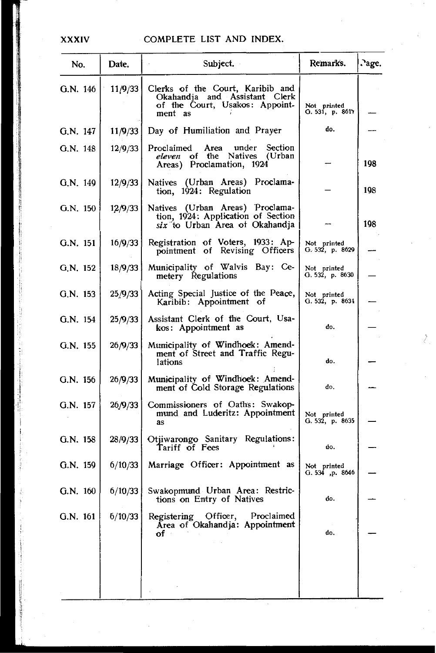#### **XXXIV**

| No.        | Date.   | Subject.                                                                                                       | Remarks.                       | .age. |
|------------|---------|----------------------------------------------------------------------------------------------------------------|--------------------------------|-------|
| G.N. 146   | 11/9/33 | Clerks of the Court, Karibib and<br>Okahandja and Assistant Clerk<br>of the Court, Usakos: Appoint-<br>ment as | Not printed<br>G. 531, p. 8611 |       |
| G.N. 147   | 11/9/33 | Day of Humiliation and Prayer                                                                                  | do.                            |       |
| G.N. 148   | 12/9/33 | Proclaimed<br>Area<br>under<br>Section<br>of the Natives (Urban<br>eleven<br>Areas) Proclamation, 1924         |                                | 198   |
| G.N. 149   | 12/9/33 | Natives (Urban Areas) Proclama-<br>tion, 1924: Regulation                                                      |                                | 198   |
| G.N. 150   | 12/9/33 | Natives (Urban Areas) Proclama-<br>tion, 1924: Application of Section<br>six to Urban Area of Okahandja        |                                | 198   |
| G.N. 151   | 16/9/33 | Registration of Voters, 1933: Ap-<br>pointment of Revising Officers                                            | Not printed<br>G. 532, p. 8629 |       |
| G.N. 152   | 18/9/33 | Municipality of Walvis Bay: Ce-<br>metery Regulations                                                          | Not printed<br>G. 532, p. 8630 |       |
| G.N. 153   | 25/9/33 | Acting Special Justice of the Peace,<br>Karibib: Appointment of                                                | Not printed<br>G. 532, p. 8634 |       |
| G.N. 154   | 25/9/33 | Assistant Clerk of the Court, Usa-<br>kos: Appointment as                                                      | do.                            |       |
| G.N. 155   | 26/9/33 | Municipality of Windhoek: Amend-<br>ment of Street and Traffic Regu-<br>lations                                | do.                            |       |
| G.N. 156   | 26/9/33 | Municipality of Windhoek: Amend-<br>ment of Cold Storage Regulations                                           | do,                            |       |
| G.N. 157   | 26/9/33 | Commissioners of Oaths: Swakop-<br>mund and Luderitz: Appointment<br>as                                        | Not printed<br>G. 532, p. 8635 |       |
| G.N. 158   | 28/9/33 | Otjiwarongo Sanitary Regulations:<br>Tariff of Fees                                                            | do.                            |       |
| G.N. 159   | 6/10/33 | Marriage Officer: Appointment as                                                                               | Not printed<br>O. 534, p. 8646 |       |
| $G.N.$ 160 | 6/10/33 | Swakopmund Urban Area: Restric-<br>tions on Entry of Natives                                                   | do.                            |       |
| G.N. 161   | 6/10/33 | Registering Officer, Proclaimed<br>Area of Okahandja: Appointment<br>of∵<br>$\sim 10^{11}$ and $\sim 10^{11}$  | do.                            |       |
|            |         |                                                                                                                |                                |       |
|            |         |                                                                                                                |                                |       |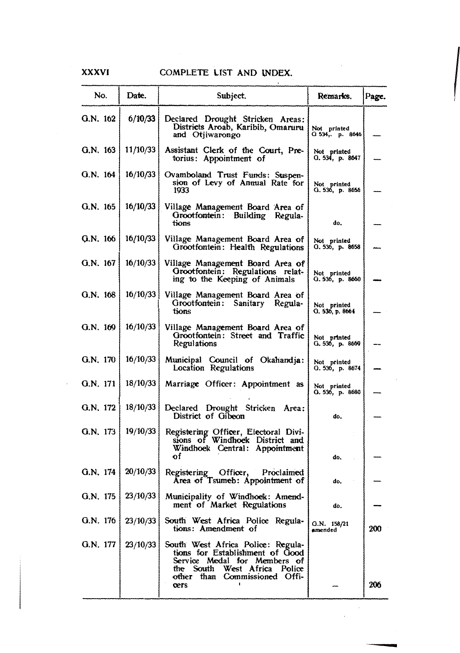# XXXVI COMPLETE LIST AND INDEX.

| No.        | Date.               | Subject.                                                                                                                                                                      | Remarks.                         | Page. |
|------------|---------------------|-------------------------------------------------------------------------------------------------------------------------------------------------------------------------------|----------------------------------|-------|
| G.N. 162   | 6/10/33             | Declared Drought Stricken Areas:<br>Districts Aroab, Karibib, Omaruru<br>and Otjiwarongo                                                                                      | Not printed<br>G 534, p. 8646    |       |
| G.N. 163   | 11/10/33            | Assistant Clerk of the Court, Pre-<br>torius: Appointment of                                                                                                                  | Not printed<br>O. 534, p. 8647   |       |
| G.N. 164   | 16/10/33            | Ovamboland Trust Funds: Suspen-<br>sion of Levy of Annual Rate for<br>1933                                                                                                    | Not printed<br>G. 536, p. 8656   |       |
| G.N. 165   | 16/10/33            | Village Management Board Area of<br>Grootfontein: Building Regula-<br>tions                                                                                                   | do,                              |       |
| G.N. 166   | 16/10/33            | Village Management Board Area of<br>Grootfontein: Health Regulations                                                                                                          | Not printed<br>$O.536$ , p. 8658 |       |
| G.N. 167   | 16/10/33            | Village Management Board Area of<br>Grootfontein: Regulations relat-<br>ing to the Keeping of Animals                                                                         | Not printed<br>G. 536, p. 8660   |       |
| G.N. 168   | 16/10/33            | Village Management Board Area of<br>Grootfontein: Sanitary Regula-<br>tions                                                                                                   | Not printed<br>G. 536, p. 8664   |       |
| G.N. 169   | 16/10/33            | Village Management Board Area of<br>Grootfontein: Street and Traffic<br>Regulations                                                                                           | Not printed<br>G. 536, p. 8669   |       |
| G.N. 170   | 16/10/33            | Municipal Council of Okahandia:<br>Location Regulations                                                                                                                       | Not printed<br>G. 536, p. 8674   |       |
| G.N. 171   | 18/10/33            | Marriage Officer: Appointment as                                                                                                                                              | Not printed<br>O. 536, p. 8680   |       |
| G.N. 172   | 18/10/33            | Declared Drought Stricken Area:<br>District of Gibeon                                                                                                                         | do.                              |       |
| G.N. 173   | 19/10/33            | Registering Officer, Electoral Divi-<br>sions of Windhoek District and<br>Windhoek Central: Appointment<br>of                                                                 | đ٥.                              |       |
| G.N. 174   | 20/10/33            | Registering Officer,<br>Proclaimed<br>Area of Tsumeb: Appointment of                                                                                                          | do.                              |       |
| G.N. 175   | 23/10/33            | Municipality of Windhoek: Amend-<br>ment of Market Regulations                                                                                                                | d٥                               |       |
|            | G.N. 176   23/10/33 | South West Africa Police Regula-<br>tions: Amendment of                                                                                                                       | G.N. 158/21<br>amended           | 200   |
| G.N. $177$ | 23/10/33            | South West Africa Police: Regula-<br>tions for Establishment of Good<br>Service Medal for Members of<br>the South West Africa Police<br>other than Commissioned Offi-<br>cers |                                  | 206   |

 $\cdot$